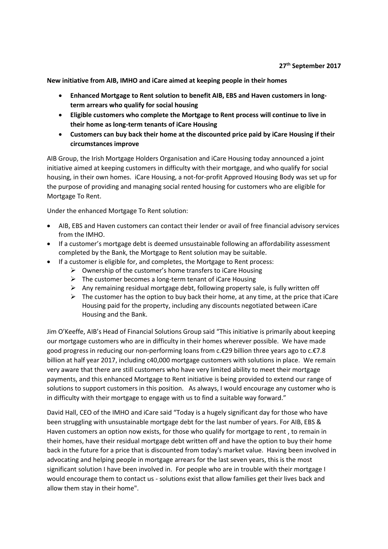**New initiative from AIB, IMHO and iCare aimed at keeping people in their homes**

- **Enhanced Mortgage to Rent solution to benefit AIB, EBS and Haven customers in longterm arrears who qualify for social housing**
- **Eligible customers who complete the Mortgage to Rent process will continue to live in their home as long-term tenants of iCare Housing**
- **Customers can buy back their home at the discounted price paid by iCare Housing if their circumstances improve**

AIB Group, the Irish Mortgage Holders Organisation and iCare Housing today announced a joint initiative aimed at keeping customers in difficulty with their mortgage, and who qualify for social housing, in their own homes. iCare Housing, a not-for-profit Approved Housing Body was set up for the purpose of providing and managing social rented housing for customers who are eligible for Mortgage To Rent.

Under the enhanced Mortgage To Rent solution:

- AIB, EBS and Haven customers can contact their lender or avail of free financial advisory services from the IMHO.
- If a customer's mortgage debt is deemed unsustainable following an affordability assessment completed by the Bank, the Mortgage to Rent solution may be suitable.
- If a customer is eligible for, and completes, the Mortgage to Rent process:
	- $\triangleright$  Ownership of the customer's home transfers to iCare Housing
	- $\triangleright$  The customer becomes a long-term tenant of iCare Housing
	- $\triangleright$  Any remaining residual mortgage debt, following property sale, is fully written off
	- $\triangleright$  The customer has the option to buy back their home, at any time, at the price that iCare Housing paid for the property, including any discounts negotiated between iCare Housing and the Bank.

Jim O'Keeffe, AIB's Head of Financial Solutions Group said "This initiative is primarily about keeping our mortgage customers who are in difficulty in their homes wherever possible. We have made good progress in reducing our non-performing loans from c.€29 billion three years ago to c.€7.8 billion at half year 2017, including c40,000 mortgage customers with solutions in place. We remain very aware that there are still customers who have very limited ability to meet their mortgage payments, and this enhanced Mortgage to Rent initiative is being provided to extend our range of solutions to support customers in this position. As always, I would encourage any customer who is in difficulty with their mortgage to engage with us to find a suitable way forward."

David Hall, CEO of the IMHO and iCare said "Today is a hugely significant day for those who have been struggling with unsustainable mortgage debt for the last number of years. For AIB, EBS & Haven customers an option now exists, for those who qualify for mortgage to rent , to remain in their homes, have their residual mortgage debt written off and have the option to buy their home back in the future for a price that is discounted from today's market value. Having been involved in advocating and helping people in mortgage arrears for the last seven years, this is the most significant solution I have been involved in. For people who are in trouble with their mortgage I would encourage them to contact us - solutions exist that allow families get their lives back and allow them stay in their home".